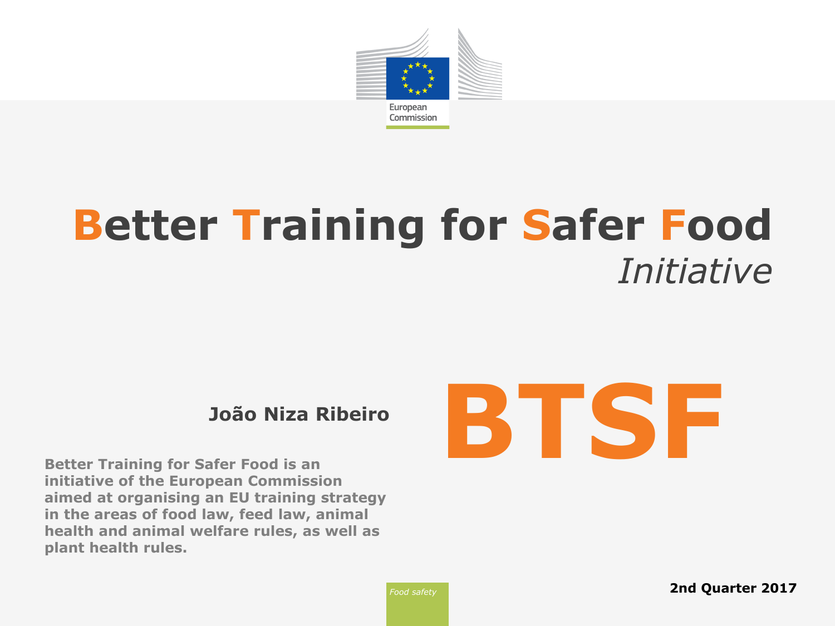

# **Better Training for Safer Food** *Initiative*

**Better Training for Safer Food is an initiative of the European Commission aimed at organising an EU training strategy in the areas of food law, feed law, animal health and animal welfare rules, as well as plant health rules.**

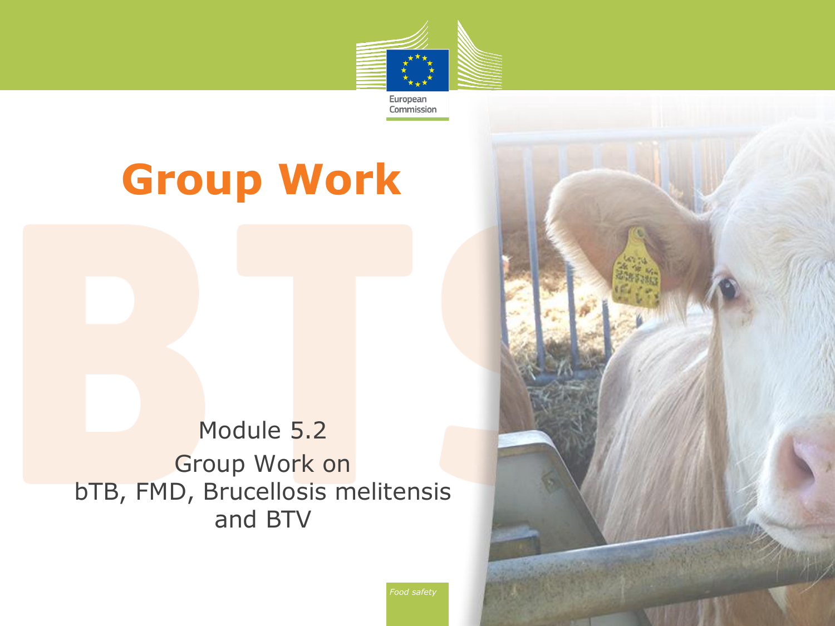

**Group Work**

Module 5.2 Group Work on bTB, FMD, Brucellosis melitensis and BTV

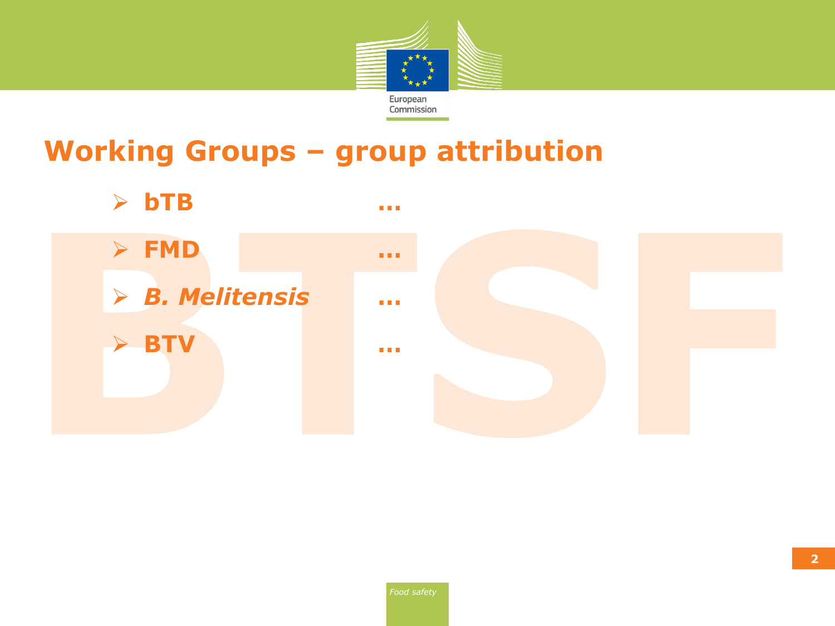

# **Working Groups – group attribution**

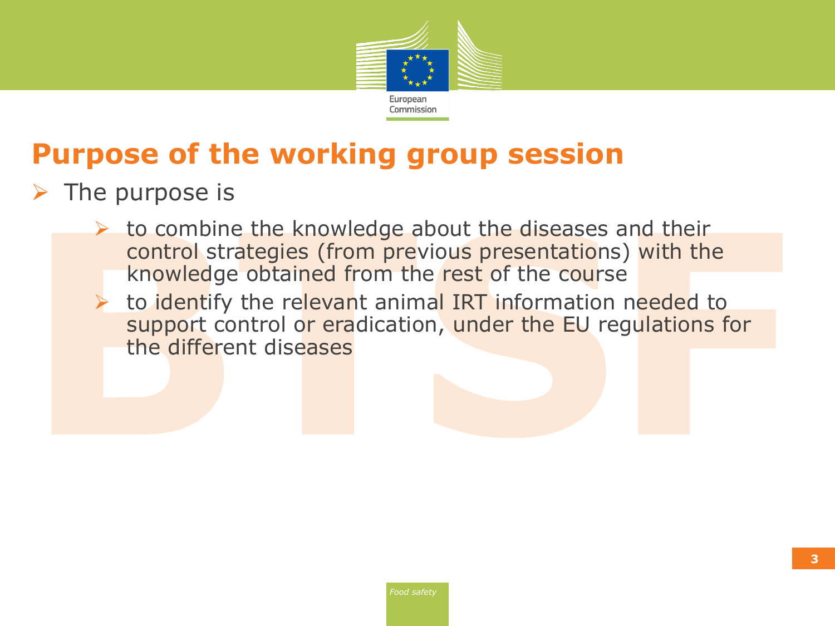

# **Purpose of the working group session**

- $\triangleright$  The purpose is
	- $\triangleright$  to combine the knowledge about the diseases and their control strategies (from previous presentations) with the knowledge obtained from the rest of the course
	- If to identify the relevant animal IRT information needed to support control or eradication, under the EU regulations for the different diseases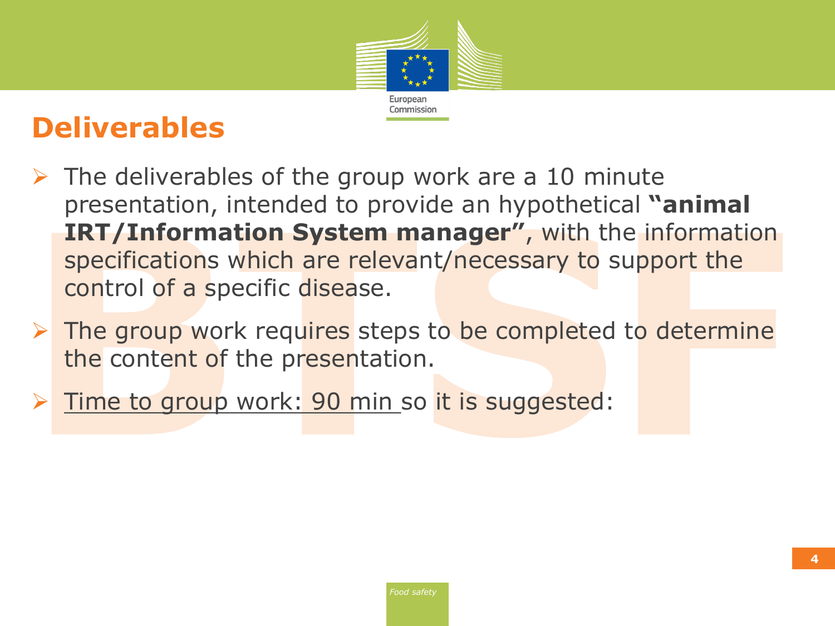

## **Deliverables**

- $\triangleright$  The deliverables of the group work are a 10 minute presentation, intended to provide an hypothetical **"animal IRT/Information System manager"**, with the information specifications which are relevant/necessary to support the control of a specific disease.
- $\triangleright$  The group work requires steps to be completed to determine the content of the presentation.
- > Time to group work: 90 min so it is suggested: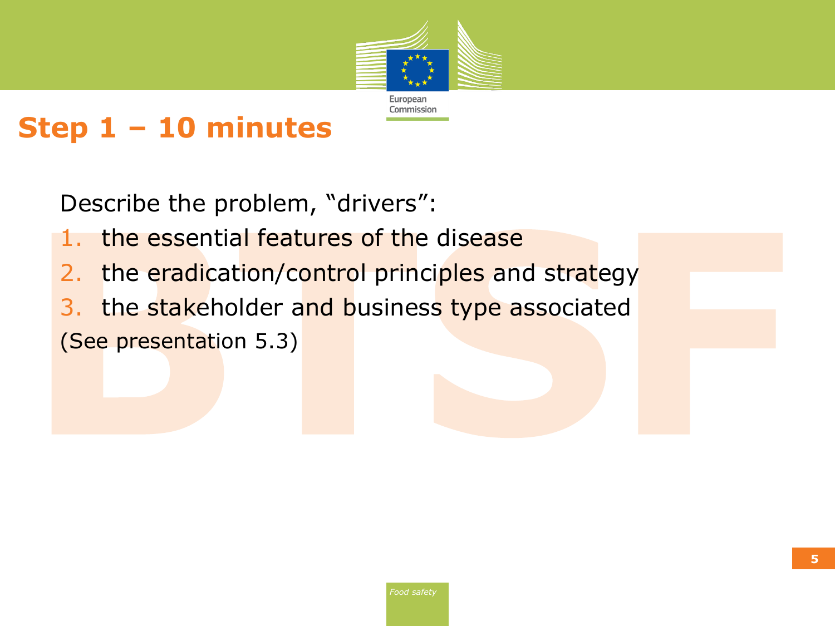

#### **Step 1 – 10 minutes**

Describe the problem, "drivers":

- 1. the essential features of the disease
- 2. the eradication/control principles and strategy
- 3. the stakeholder and business type associated (See presentation 5.3)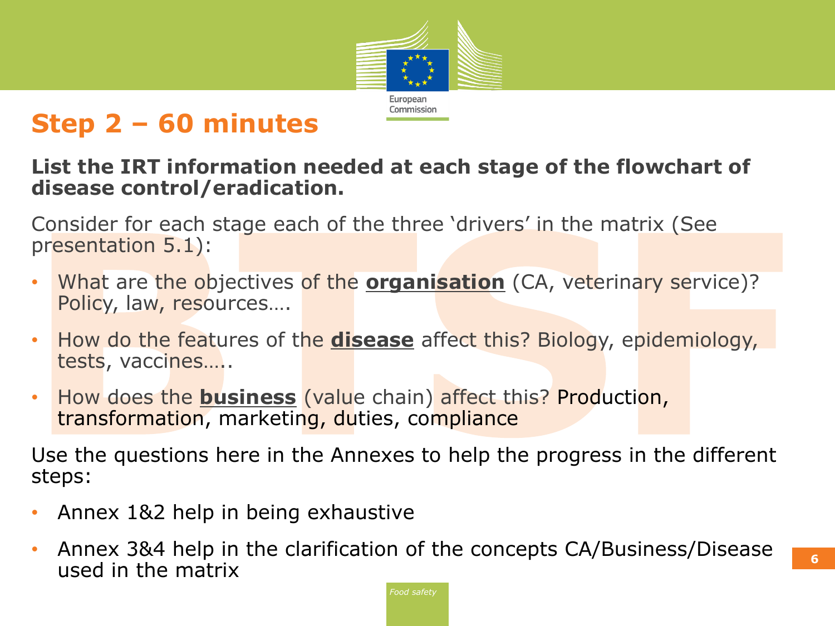

#### **Step 2 – 60 minutes**

#### **List the IRT information needed at each stage of the flowchart of disease control/eradication.**

Consider for each stage each of the three 'drivers' in the matrix (See presentation 5.1):

- What are the objectives of the **organisation** (CA, veterinary service)? Policy, law, resources….
- How do the features of the **disease** affect this? Biology, epidemiology, tests, vaccines…..
- How does the **business** (value chain) affect this? Production, transformation, marketing, duties, compliance

Use the questions here in the Annexes to help the progress in the different steps:

- Annex 1&2 help in being exhaustive
- Annex 3&4 help in the clarification of the concepts CA/Business/Disease which be matrix **6** claimeation of the concepts on basiness, bisease **6**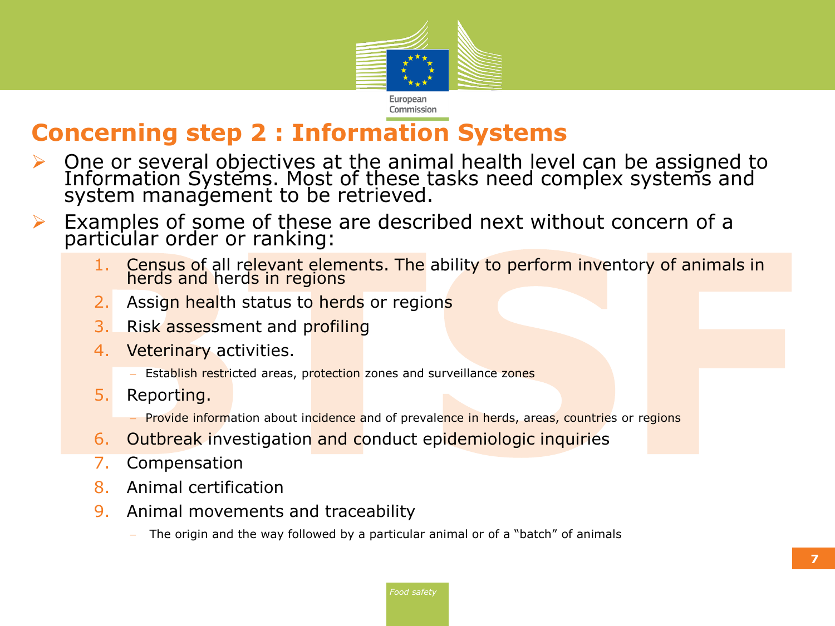

#### **Concerning step 2 : Information Systems**

- $\triangleright$  One or several objectives at the animal health level can be assigned to Information Systems. Most of these tasks need complex systems and system management to be retrieved.
- Examples of some of these are described next without concern of a particular order or ranking:
	- 1. Census of all relevant elements. The ability to perform inventory of animals in herds and herds in regions
	- Assign health status to herds or regions
	- 3. Risk assessment and profiling
	- 4. Veterinary activities.
		- Establish restricted areas, protection zones and surveillance zones
	- 5. Reporting.
		- Provide information about incidence and of prevalence in herds, areas, countries or regions
	- 6. Outbreak investigation and conduct epidemiologic inquiries
	- 7. Compensation
	- 8. Animal certification
	- 9. Animal movements and traceability
		- The origin and the way followed by a particular animal or of a "batch" of animals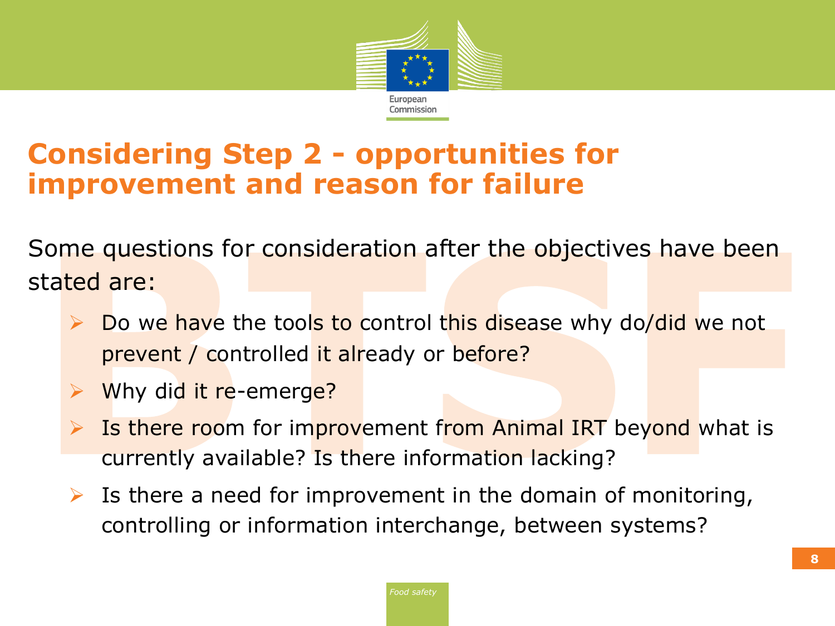

### **Considering Step 2 - opportunities for improvement and reason for failure**

Some questions for consideration after the objectives have been stated are:

- Do we have the tools to control this disease why do/did we not prevent / controlled it already or before?
- $\triangleright$  Why did it re-emerge?
- Is there room for improvement from Animal IRT beyond what is currently available? Is there information lacking?
- $\triangleright$  Is there a need for improvement in the domain of monitoring, controlling or information interchange, between systems?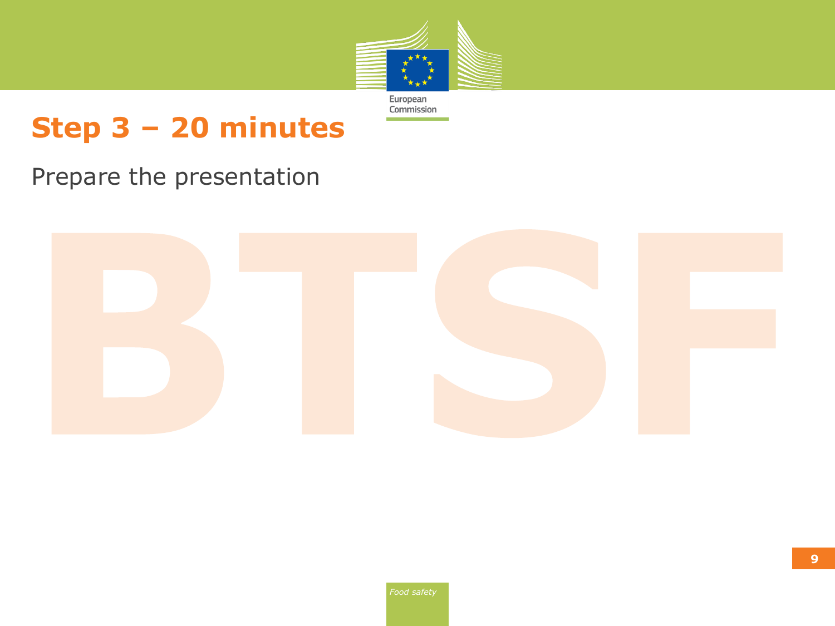

# **Step 3 – 20 minutes**

#### Prepare the presentation

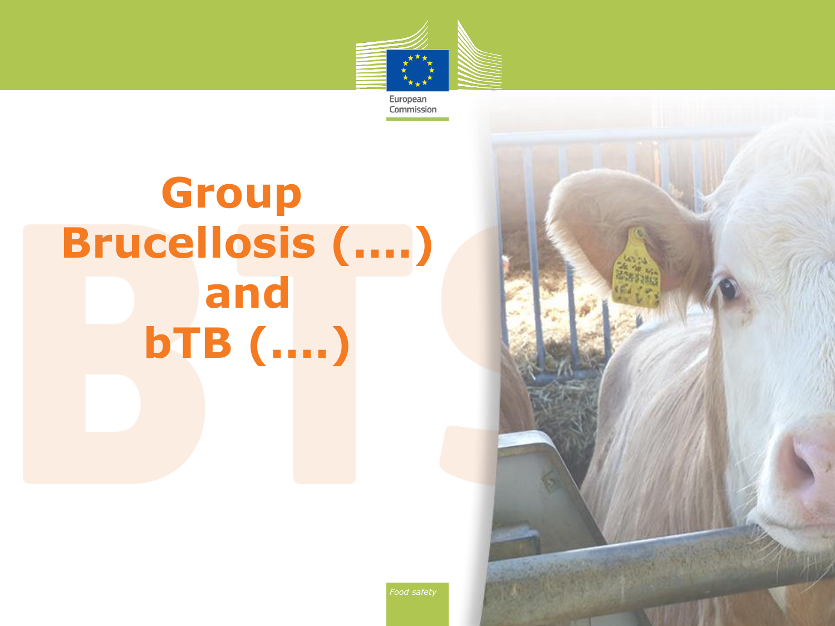

**Group Brucellosis (....) and bTB (....)**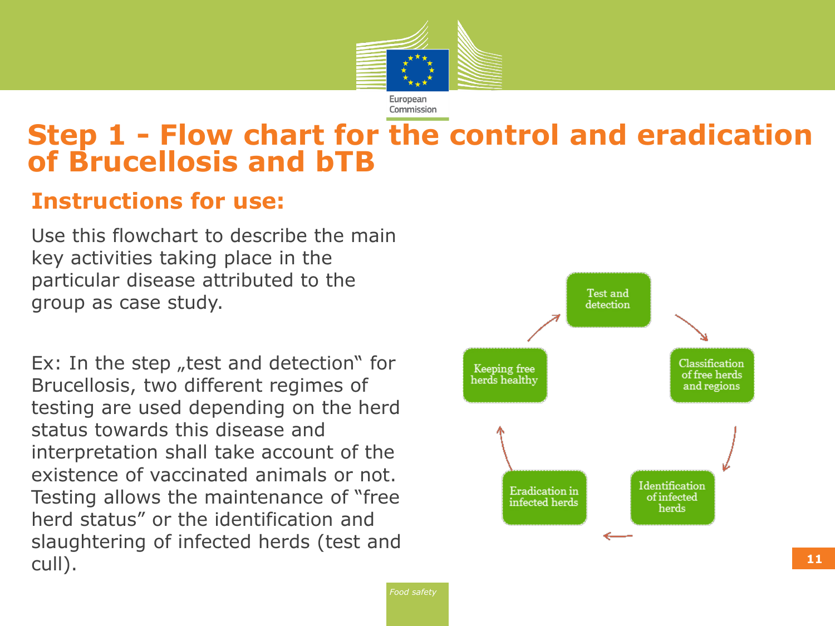

#### **Step 1 - Flow chart for the control and eradication of Brucellosis and bTB**

#### **Instructions for use:**

Use this flowchart to describe the main key activities taking place in the particular disease attributed to the group as case study.

Ex: In the step  $n$  test and detection" for Brucellosis, two different regimes of testing are used depending on the herd status towards this disease and interpretation shall take account of the existence of vaccinated animals or not. Testing allows the maintenance of "free herd status" or the identification and slaughtering of infected herds (test and cull). **<sup>11</sup>**

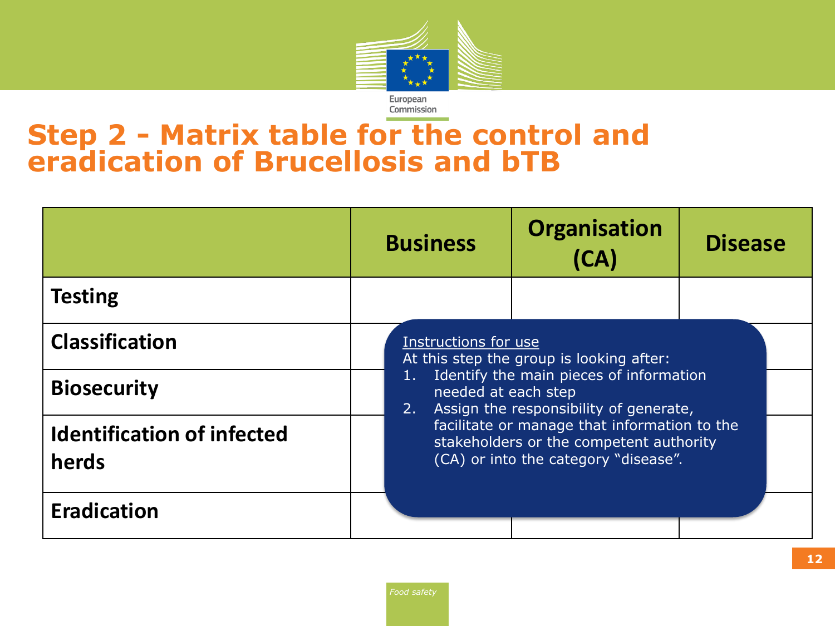

#### **Step 2 - Matrix table for the control and eradication of Brucellosis and bTB**

|                                            | <b>Business</b> | <b>Organisation</b><br>(CA)                                                                                                                                                  | <b>Disease</b> |  |  |
|--------------------------------------------|-----------------|------------------------------------------------------------------------------------------------------------------------------------------------------------------------------|----------------|--|--|
| <b>Testing</b>                             |                 |                                                                                                                                                                              |                |  |  |
| <b>Classification</b>                      |                 | Instructions for use<br>At this step the group is looking after:<br>Identify the main pieces of information<br>needed at each step<br>Assign the responsibility of generate, |                |  |  |
| <b>Biosecurity</b>                         | 2.              |                                                                                                                                                                              |                |  |  |
| <b>Identification of infected</b><br>herds |                 | facilitate or manage that information to the<br>stakeholders or the competent authority<br>(CA) or into the category "disease".                                              |                |  |  |
| <b>Eradication</b>                         |                 |                                                                                                                                                                              |                |  |  |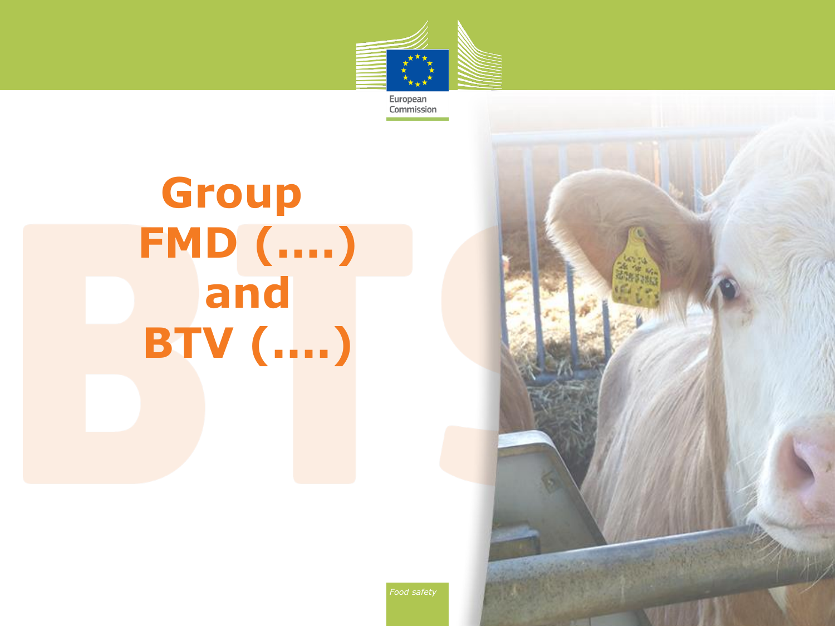

**Group FMD (....) and BTV (....)**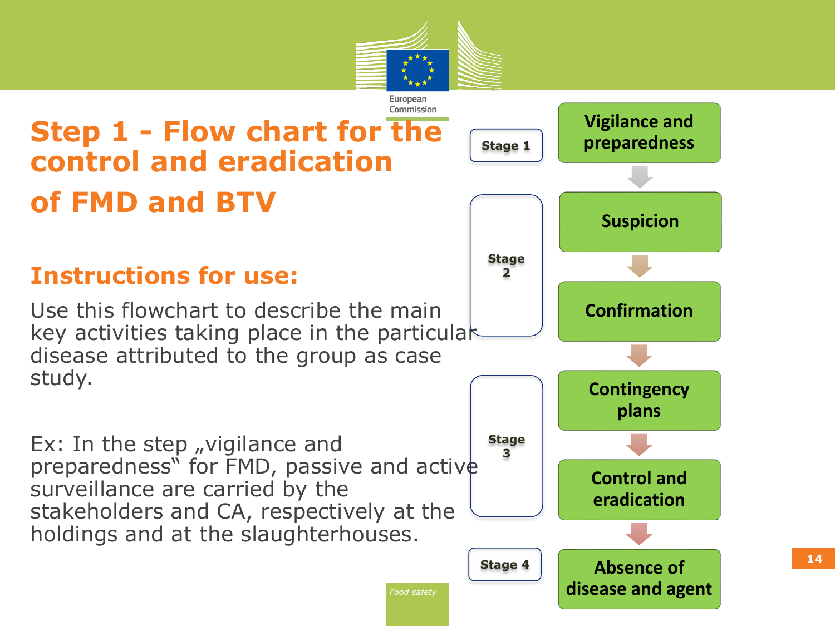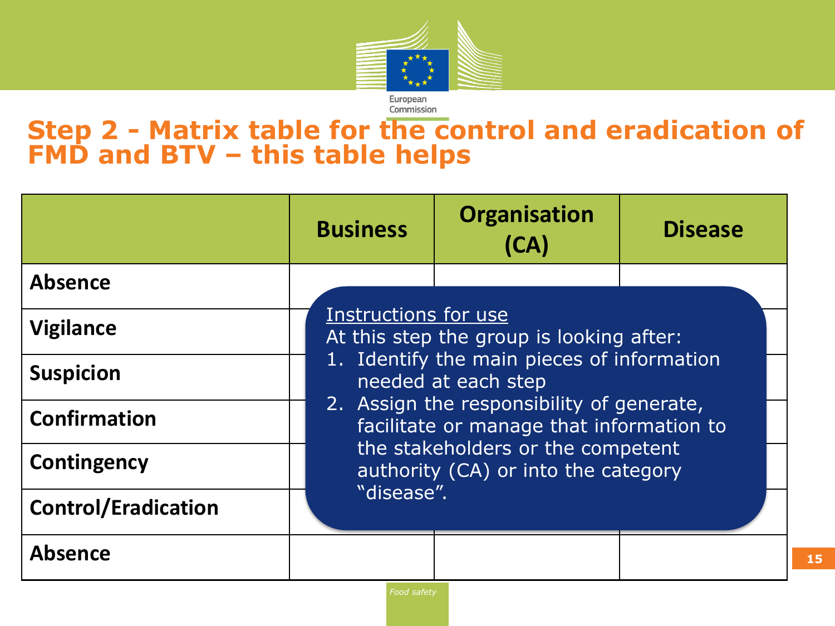

#### **Step 2 - Matrix table for the control and eradication of FMD and BTV – this table helps**

|                            | <b>Business</b>                                                                                                                                                                                                                                                                                                          | <b>Organisation</b><br>(CA) | <b>Disease</b> |  |  |
|----------------------------|--------------------------------------------------------------------------------------------------------------------------------------------------------------------------------------------------------------------------------------------------------------------------------------------------------------------------|-----------------------------|----------------|--|--|
| <b>Absence</b>             |                                                                                                                                                                                                                                                                                                                          |                             |                |  |  |
| <b>Vigilance</b>           | Instructions for use<br>At this step the group is looking after:<br>1. Identify the main pieces of information<br>needed at each step<br>2. Assign the responsibility of generate,<br>facilitate or manage that information to<br>the stakeholders or the competent<br>authority (CA) or into the category<br>"disease". |                             |                |  |  |
| <b>Suspicion</b>           |                                                                                                                                                                                                                                                                                                                          |                             |                |  |  |
| <b>Confirmation</b>        |                                                                                                                                                                                                                                                                                                                          |                             |                |  |  |
| <b>Contingency</b>         |                                                                                                                                                                                                                                                                                                                          |                             |                |  |  |
| <b>Control/Eradication</b> |                                                                                                                                                                                                                                                                                                                          |                             |                |  |  |
| <b>Absence</b>             |                                                                                                                                                                                                                                                                                                                          |                             |                |  |  |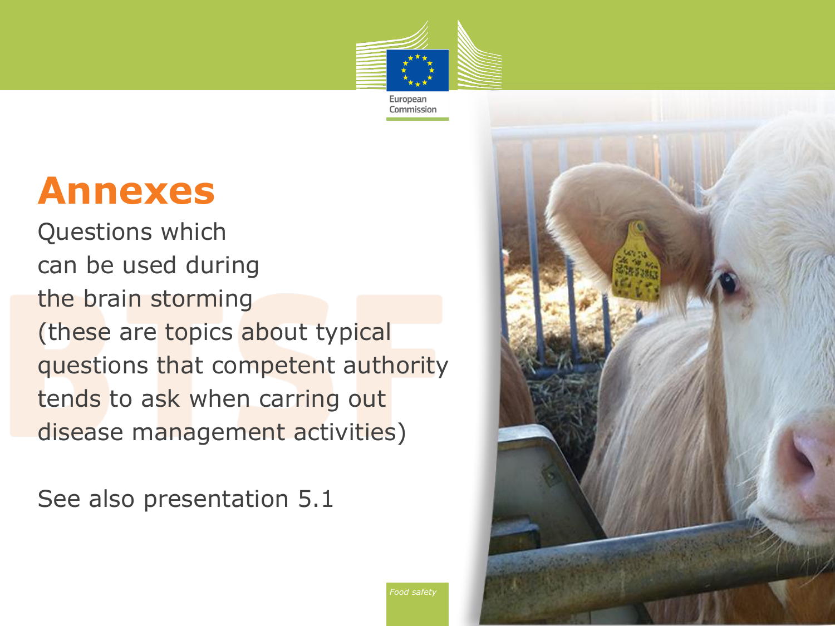

Commission

# **Annexes**

Questions which can be used during the brain storming (these are topics about typical questions that competent authority tends to ask when carring out disease management activities)

See also presentation 5.1

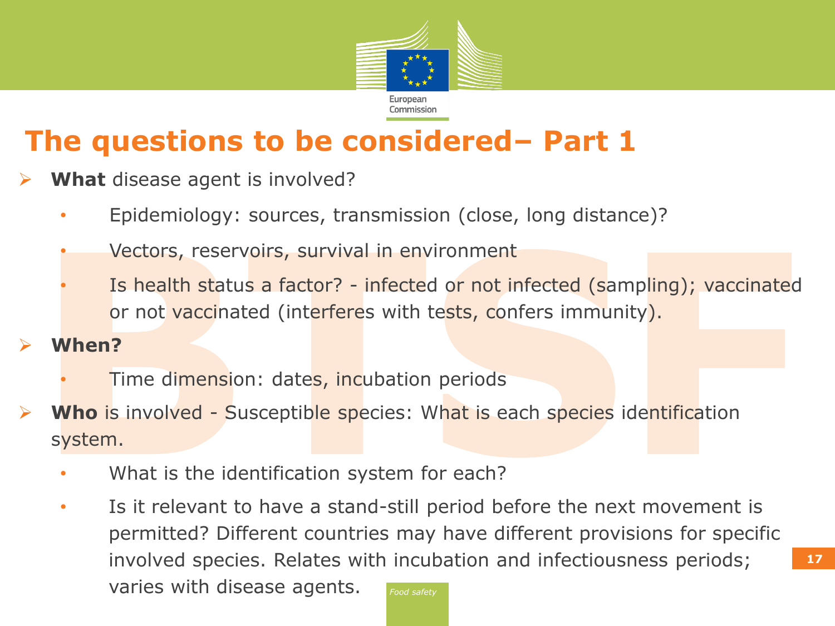

# **The questions to be considered– Part 1**

- **What** disease agent is involved?
	- Epidemiology: sources, transmission (close, long distance)?
	- Vectors, reservoirs, survival in environment
	- Is health status a factor? infected or not infected (sampling); vaccinated or not vaccinated (interferes with tests, confers immunity).

#### **When?**

- Time dimension: dates, incubation periods
- **Who** is involved Susceptible species: What is each species identification system.
	- What is the identification system for each?
	- *Food safety* • Is it relevant to have a stand-still period before the next movement is permitted? Different countries may have different provisions for specific involved species. Relates with incubation and infectiousness periods; varies with disease agents.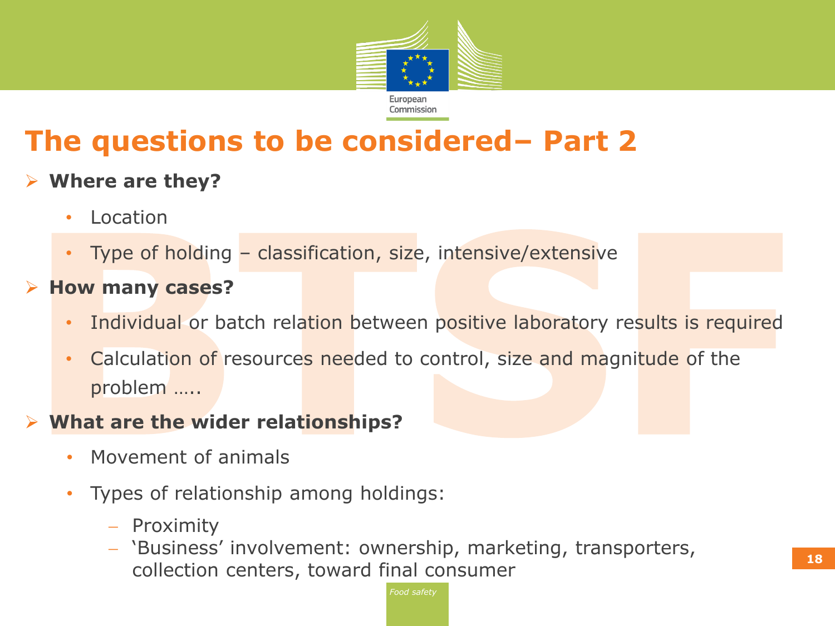

# **The questions to be considered– Part 2**

#### **Where are they?**

- **Location**
- Type of holding classification, size, intensive/extensive
- **► How many cases?** 
	- Individual or batch relation between positive laboratory results is required
	- Calculation of resources needed to control, size and magnitude of the problem …..

#### **What are the wider relationships?**

- Movement of animals
- Types of relationship among holdings:
	- Proximity
	- 'Business' involvement: ownership, marketing, transporters, collection centers, toward final consumer **<sup>18</sup>**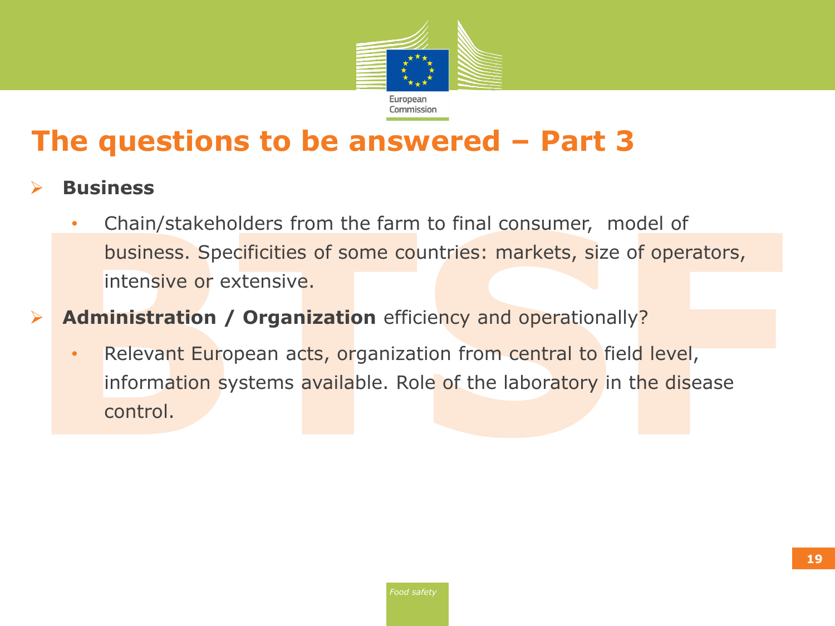

# **The questions to be answered – Part 3**

- **Business**
	- Chain/stakeholders from the farm to final consumer, model of business. Specificities of some countries: markets, size of operators, intensive or extensive.
- **Administration / Organization** efficiency and operationally?
	- Relevant European acts, organization from central to field level, information systems available. Role of the laboratory in the disease control.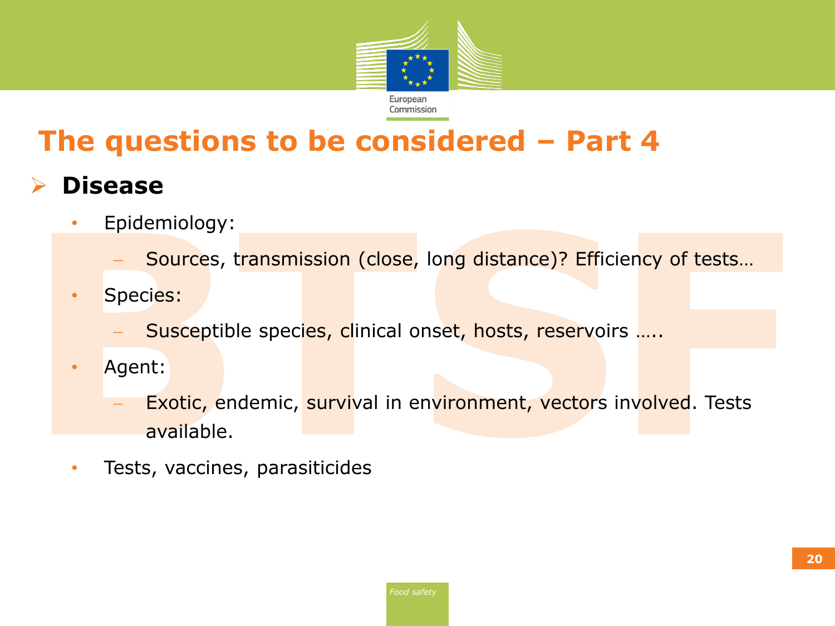

# **The questions to be considered – Part 4**

#### **Disease**

• Epidemiology:

Sources, transmission (close, long distance)? Efficiency of tests…

- Species:
	- Susceptible species, clinical onset, hosts, reservoirs .....
- Agent:
	- Exotic, endemic, survival in environment, vectors involved. Tests available.
- Tests, vaccines, parasiticides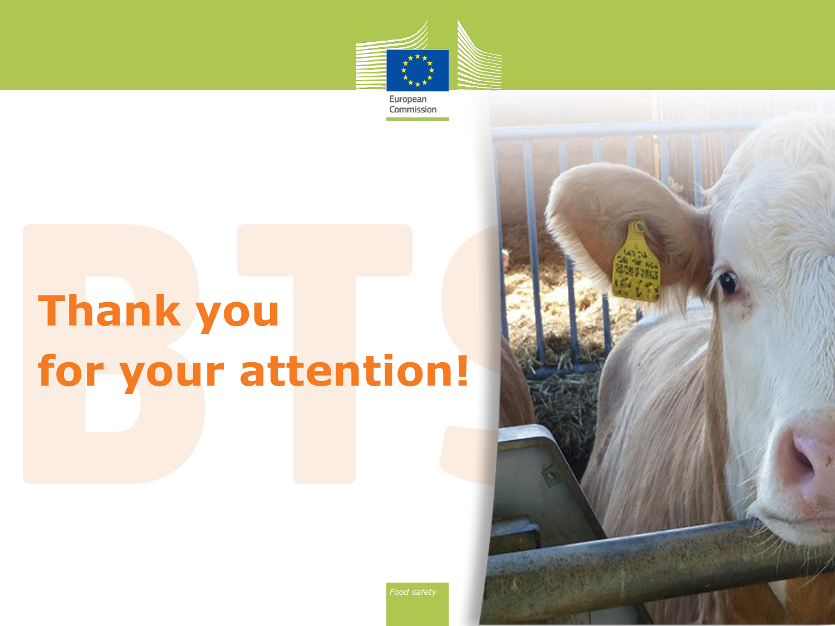

European Commission

# **Thank you for your attention!**